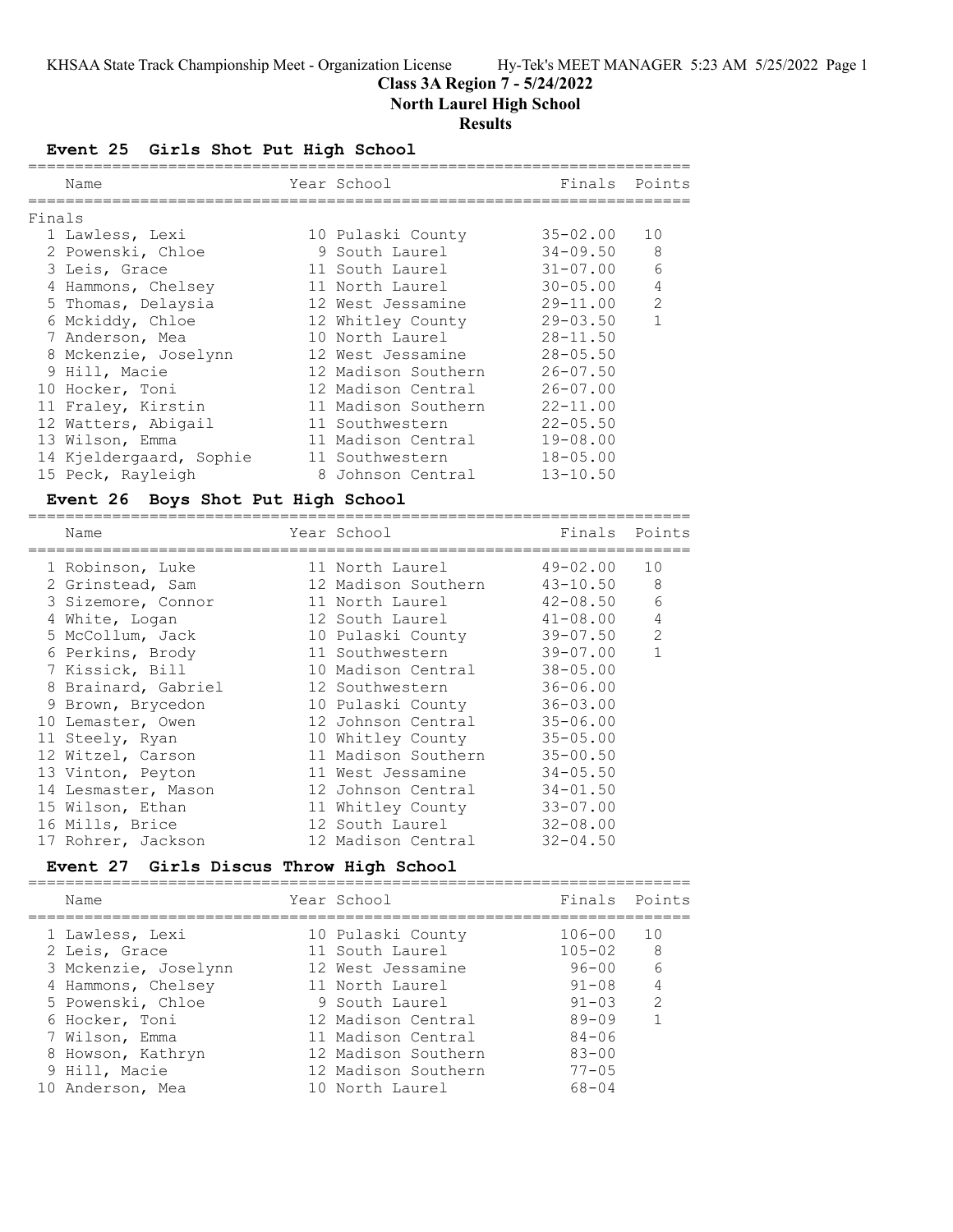## **Class 3A Region 7 - 5/24/2022**

**North Laurel High School**

### **Results**

**Event 25 Girls Shot Put High School**

|        | Name                    | Year School              | Finals       | Points       |
|--------|-------------------------|--------------------------|--------------|--------------|
| Finals |                         |                          |              |              |
|        | 1 Lawless, Lexi         | 10 Pulaski County        | 35-02.00     | 10           |
|        | 2 Powenski, Chloe       | 9 South Laurel           | 34-09.50     | 8            |
|        | 3 Leis, Grace           | 11 South Laurel 31-07.00 |              | 6            |
|        | 4 Hammons, Chelsey      | 11 North Laurel 30-05.00 |              | 4            |
|        | 5 Thomas, Delaysia      | 12 West Jessamine        | 29-11.00     | 2            |
|        | 6 Mckiddy, Chloe        | 12 Whitley County        | $29 - 03.50$ | $\mathbf{1}$ |
|        | 7 Anderson, Mea         | 10 North Laurel          | $28 - 11.50$ |              |
|        | 8 Mckenzie, Joselynn    | 12 West Jessamine        | $28 - 05.50$ |              |
|        | 9 Hill, Macie           | 12 Madison Southern      | $26 - 07.50$ |              |
|        | 10 Hocker, Toni         | 12 Madison Central       | $26 - 07.00$ |              |
|        | 11 Fraley, Kirstin      | 11 Madison Southern      | $22 - 11.00$ |              |
|        | 12 Watters, Abigail     | 11 Southwestern          | $22 - 05.50$ |              |
|        | 13 Wilson, Emma         | 11 Madison Central       | $19 - 08.00$ |              |
|        | 14 Kjeldergaard, Sophie | 11 Southwestern          | $18 - 05.00$ |              |
|        | 15 Peck, Rayleigh       | 8 Johnson Central        | $13 - 10.50$ |              |
|        |                         |                          |              |              |

### **Event 26 Boys Shot Put High School**

| Finals Points                |                                                                                                                              |
|------------------------------|------------------------------------------------------------------------------------------------------------------------------|
|                              |                                                                                                                              |
| 49-02.00                     | 10                                                                                                                           |
| 43-10.50                     | 8                                                                                                                            |
| 42-08.50                     | 6                                                                                                                            |
| $12$ South Laurel $41-08.00$ | $\overline{4}$                                                                                                               |
| 39-07.50                     | $\overline{2}$                                                                                                               |
| 39-07.00                     | $\mathbf{1}$                                                                                                                 |
| $38 - 05.00$                 |                                                                                                                              |
| $36 - 06.00$                 |                                                                                                                              |
| $36 - 03.00$                 |                                                                                                                              |
|                              |                                                                                                                              |
|                              |                                                                                                                              |
|                              |                                                                                                                              |
|                              |                                                                                                                              |
|                              |                                                                                                                              |
|                              |                                                                                                                              |
|                              |                                                                                                                              |
|                              |                                                                                                                              |
|                              | $35 - 06.00$<br>$35 - 05.00$<br>$35 - 00.50$<br>$34 - 05.50$<br>$34 - 01.50$<br>$33 - 07.00$<br>$32 - 08.00$<br>$32 - 04.50$ |

### **Event 27 Girls Discus Throw High School**

|  | Name                 | Year School         | Finals Points |               |
|--|----------------------|---------------------|---------------|---------------|
|  | 1 Lawless, Lexi      | 10 Pulaski County   | $106 - 00$    | 10            |
|  | 2 Leis, Grace        | 11 South Laurel     | $105 - 02$    | -8            |
|  | 3 Mckenzie, Joselynn | 12 West Jessamine   | $96 - 00$     | 6             |
|  | 4 Hammons, Chelsey   | 11 North Laurel     | $91 - 08$     |               |
|  | 5 Powenski, Chloe    | 9 South Laurel      | $91 - 0.3$    | $\mathcal{L}$ |
|  | 6 Hocker, Toni       | 12 Madison Central  | $89 - 09$     |               |
|  | 7 Wilson, Emma       | 11 Madison Central  | $84 - 06$     |               |
|  | 8 Howson, Kathryn    | 12 Madison Southern | $83 - 00$     |               |
|  | 9 Hill, Macie        | 12 Madison Southern | $77 - 05$     |               |
|  | 10 Anderson, Mea     | 10 North Laurel     | $68 - 04$     |               |
|  |                      |                     |               |               |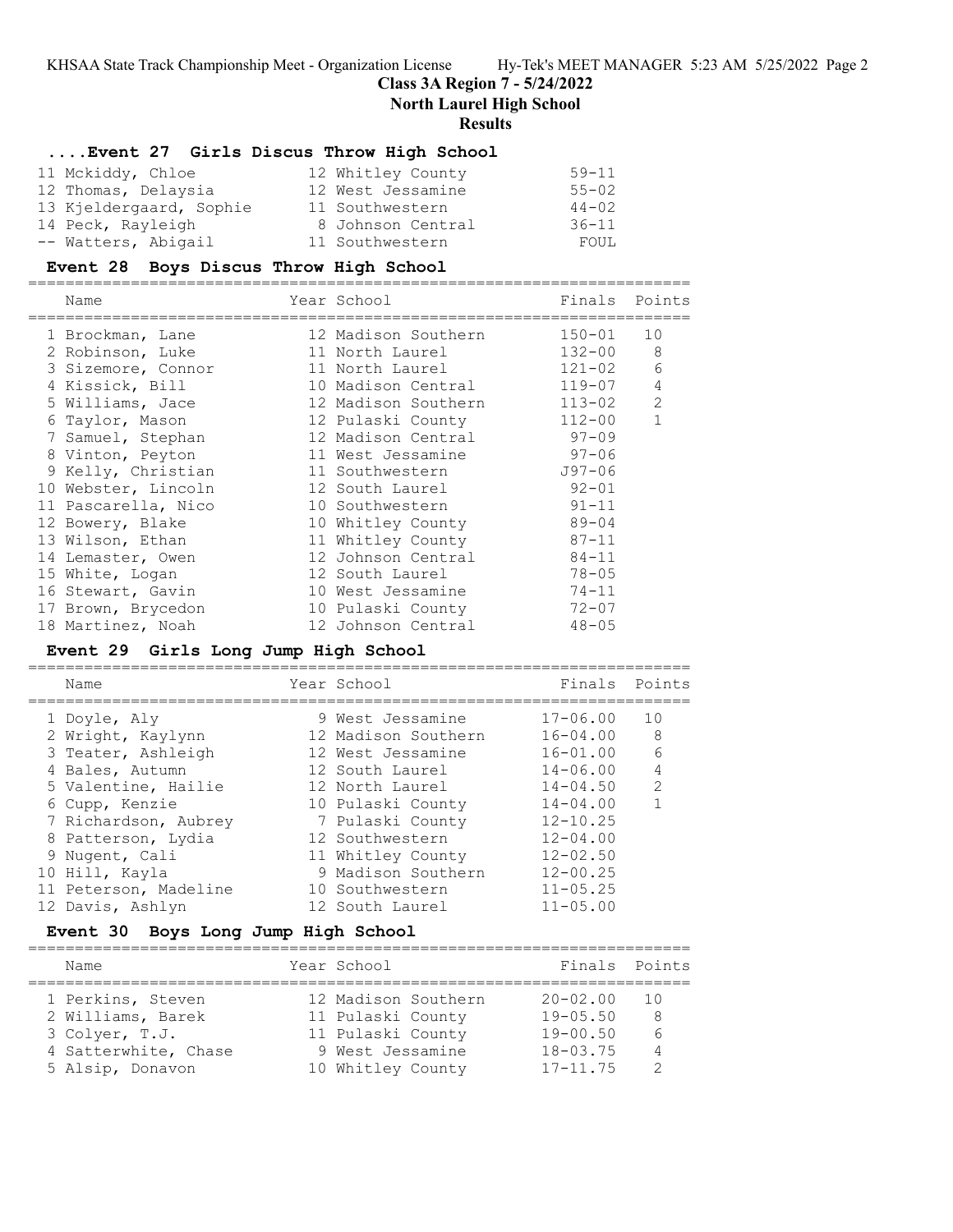### **Class 3A Region 7 - 5/24/2022**

**North Laurel High School**

#### **Results**

### **....Event 27 Girls Discus Throw High School**

| 11 Mckiddy, Chloe       | 12 Whitley County | $59 - 11$ |
|-------------------------|-------------------|-----------|
| 12 Thomas, Delaysia     | 12 West Jessamine | $55 - 02$ |
| 13 Kjeldergaard, Sophie | 11 Southwestern   | $44 - 02$ |
| 14 Peck, Rayleigh       | 8 Johnson Central | $36 - 11$ |
| -- Watters, Abigail     | 11 Southwestern   | FOUL      |

### **Event 28 Boys Discus Throw High School**

=======================================================================

| Name                | Year School         | Finals Points |                |
|---------------------|---------------------|---------------|----------------|
| 1 Brockman, Lane    | 12 Madison Southern | $150 - 01$    | 10             |
| 2 Robinson, Luke    | 11 North Laurel     | 132-00        | 8              |
| 3 Sizemore, Connor  | 11 North Laurel     | $121 - 02$    | 6              |
| 4 Kissick, Bill     | 10 Madison Central  | 119-07        | $\overline{4}$ |
| 5 Williams, Jace    | 12 Madison Southern | 113-02        | 2              |
| 6 Taylor, Mason     | 12 Pulaski County   | $112 - 00$    | $\mathbf{1}$   |
| 7 Samuel, Stephan   | 12 Madison Central  | $97 - 09$     |                |
| 8 Vinton, Peyton    | 11 West Jessamine   | $97 - 06$     |                |
| 9 Kelly, Christian  | 11 Southwestern     | $J97 - 06$    |                |
| 10 Webster, Lincoln | 12 South Laurel     | $92 - 01$     |                |
| 11 Pascarella, Nico | 10 Southwestern     | $91 - 11$     |                |
| 12 Bowery, Blake    | 10 Whitley County   | 89-04         |                |
| 13 Wilson, Ethan    | 11 Whitley County   | $87 - 11$     |                |
| 14 Lemaster, Owen   | 12 Johnson Central  | $84 - 11$     |                |
| 15 White, Logan     | 12 South Laurel     | $78 - 05$     |                |
| 16 Stewart, Gavin   | 10 West Jessamine   | $74 - 11$     |                |
| 17 Brown, Brycedon  | 10 Pulaski County   | $72 - 07$     |                |
| 18 Martinez, Noah   | 12 Johnson Central  | $48 - 05$     |                |

## **Event 29 Girls Long Jump High School**

=======================================================================

| Name                  | Year School         | Finals       | Points         |
|-----------------------|---------------------|--------------|----------------|
| 1 Doyle, Aly          | 9 West Jessamine    | $17 - 06.00$ | 10             |
| 2 Wright, Kaylynn     | 12 Madison Southern | $16 - 04.00$ | - 8            |
| 3 Teater, Ashleigh    | 12 West Jessamine   | $16 - 01.00$ | 6              |
| 4 Bales, Autumn       | 12 South Laurel     | $14 - 06.00$ | $\overline{4}$ |
| 5 Valentine, Hailie   | 12 North Laurel     | $14 - 04.50$ | $\mathcal{L}$  |
| 6 Cupp, Kenzie        | 10 Pulaski County   | $14 - 04.00$ |                |
| 7 Richardson, Aubrey  | 7 Pulaski County    | $12 - 10.25$ |                |
| 8 Patterson, Lydia    | 12 Southwestern     | $12 - 04.00$ |                |
| 9 Nugent, Cali        | 11 Whitley County   | $12 - 02.50$ |                |
| 10 Hill, Kayla        | 9 Madison Southern  | $12 - 00.25$ |                |
| 11 Peterson, Madeline | 10 Southwestern     | $11 - 05.25$ |                |
| 12 Davis, Ashlyn      | 12 South Laurel     | $11 - 05.00$ |                |

### **Event 30 Boys Long Jump High School**

| Name                 | Year School         | Finals Points |    |
|----------------------|---------------------|---------------|----|
| 1 Perkins, Steven    | 12 Madison Southern | $20 - 02.00$  | 10 |
| 2 Williams, Barek    | 11 Pulaski County   | $19 - 05.50$  | -8 |
| 3 Colyer, T.J.       | 11 Pulaski County   | $19 - 00.50$  | 6  |
| 4 Satterwhite, Chase | 9 West Jessamine    | $18 - 03.75$  | 4  |
| 5 Alsip, Donavon     | 10 Whitley County   | $17 - 11.75$  |    |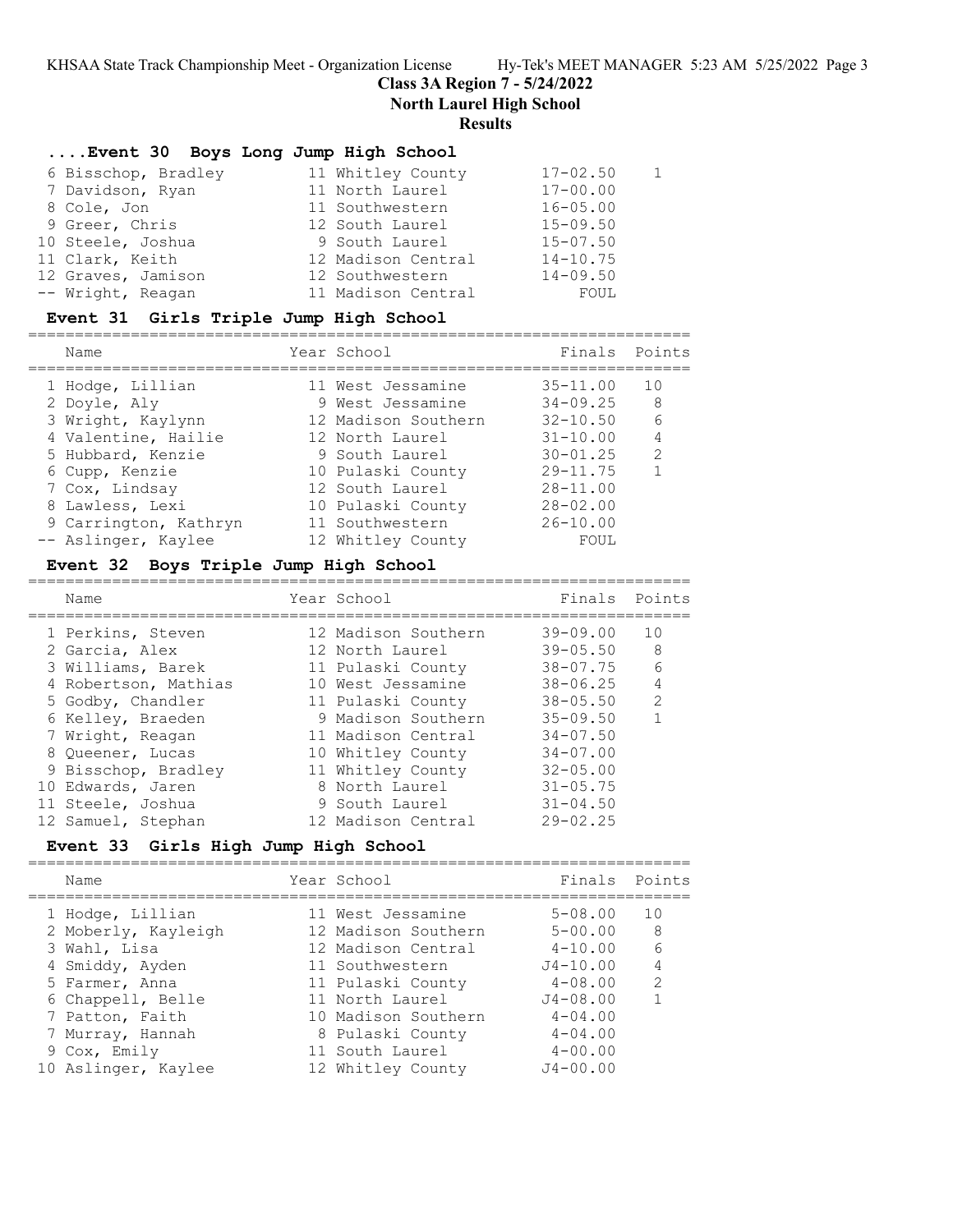**Class 3A Region 7 - 5/24/2022**

**North Laurel High School**

### **Results**

## **....Event 30 Boys Long Jump High School**

| 6 Bisschop, Bradley | 11 Whitley County  | $17 - 02.50$ |
|---------------------|--------------------|--------------|
| 7 Davidson, Ryan    | 11 North Laurel    | $17 - 00.00$ |
| 8 Cole, Jon         | 11 Southwestern    | $16 - 05.00$ |
| 9 Greer, Chris      | 12 South Laurel    | $15 - 09.50$ |
| 10 Steele, Joshua   | 9 South Laurel     | $15 - 07.50$ |
| 11 Clark, Keith     | 12 Madison Central | $14 - 10.75$ |
| 12 Graves, Jamison  | 12 Southwestern    | $14 - 09.50$ |
| -- Wright, Reagan   | 11 Madison Central | FOUL         |

### **Event 31 Girls Triple Jump High School**

| Finals Points       |                                           |
|---------------------|-------------------------------------------|
| $35 - 11.00$<br>10  |                                           |
| $34 - 09.25$<br>- 8 |                                           |
| $32 - 10.50$        |                                           |
| $31 - 10.00$        |                                           |
| $30 - 01.25$        |                                           |
| $29 - 11.75$        |                                           |
| $28 - 11.00$        |                                           |
| $28 - 02.00$        |                                           |
| $26 - 10.00$        |                                           |
| FOUL                |                                           |
|                     | 6<br>$\overline{4}$<br>$\mathcal{L}$<br>1 |

### **Event 32 Boys Triple Jump High School**

| Name                 | Year School         | Finals       | Points         |
|----------------------|---------------------|--------------|----------------|
| 1 Perkins, Steven    | 12 Madison Southern | $39 - 09.00$ | 1 O            |
| 2 Garcia, Alex       | 12 North Laurel     | $39 - 05.50$ | -8             |
| 3 Williams, Barek    | 11 Pulaski County   | $38 - 07.75$ | 6              |
| 4 Robertson, Mathias | 10 West Jessamine   | $38 - 06.25$ | $\overline{4}$ |
| 5 Godby, Chandler    | 11 Pulaski County   | $38 - 05.50$ | $\mathcal{L}$  |
| 6 Kelley, Braeden    | 9 Madison Southern  | $35 - 09.50$ |                |
| 7 Wright, Reagan     | 11 Madison Central  | $34 - 07.50$ |                |
| 8 Oueener, Lucas     | 10 Whitley County   | $34 - 07.00$ |                |
| 9 Bisschop, Bradley  | 11 Whitley County   | $32 - 05.00$ |                |
| 10 Edwards, Jaren    | 8 North Laurel      | $31 - 05.75$ |                |
| 11 Steele, Joshua    | 9 South Laurel      | $31 - 04.50$ |                |
| 12 Samuel, Stephan   | 12 Madison Central  | $29 - 02.25$ |                |

### **Event 33 Girls High Jump High School**

=======================================================================

|  | Name                | Year School         | Finals       | Points        |
|--|---------------------|---------------------|--------------|---------------|
|  | 1 Hodge, Lillian    | 11 West Jessamine   | $5 - 08.00$  | 10            |
|  | 2 Moberly, Kayleigh | 12 Madison Southern | $5 - 00.00$  | 8             |
|  | 3 Wahl, Lisa        | 12 Madison Central  | $4 - 10.00$  | 6             |
|  | 4 Smiddy, Ayden     | 11 Southwestern     | $J4 - 10.00$ | 4             |
|  | 5 Farmer, Anna      | 11 Pulaski County   | $4 - 08.00$  | $\mathcal{L}$ |
|  | 6 Chappell, Belle   | 11 North Laurel     | $J4 - 08.00$ |               |
|  | 7 Patton, Faith     | 10 Madison Southern | $4 - 04.00$  |               |
|  | 7 Murray, Hannah    | 8 Pulaski County    | $4 - 04.00$  |               |
|  | 9 Cox, Emily        | 11 South Laurel     | $4 - 00.00$  |               |
|  | 10 Aslinger, Kaylee | 12 Whitley County   | $J4 - 00.00$ |               |
|  |                     |                     |              |               |